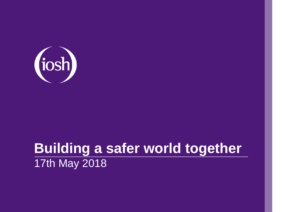

# **Building a safer world together**  17th May 2018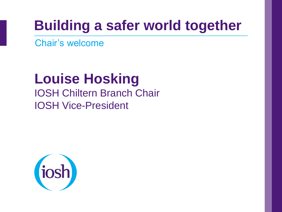# **Building a safer world together**

Chair's welcome

## **Louise Hosking** IOSH Chiltern Branch Chair IOSH Vice-President

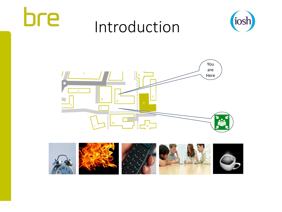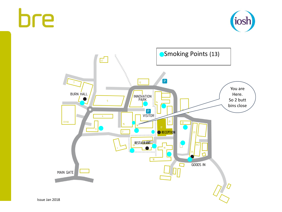pre



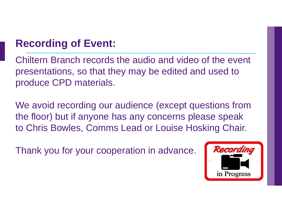## **Recording of Event:**

Chiltern Branch records the audio and video of the event presentations, so that they may be edited and used to produce CPD materials.

We avoid recording our audience (except questions from the floor) but if anyone has any concerns please speak to Chris Bowles, Comms Lead or Louise Hosking Chair.

Thank you for your cooperation in advance.

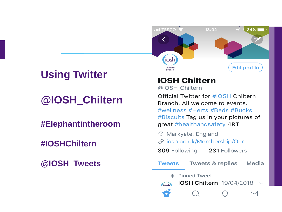

## **Using Twitter**

## **@IOSH\_Chiltern**

**#Elephantintheroom**

#### **#IOSHChiltern**

**@IOSH\_Tweets**

### **IOSH Chiltern**

@IOSH\_Chiltern

Official Twitter for #IOSH Chiltern Branch, All welcome to events. #wellness #Herts #Beds #Bucks #Biscuits Tag us in your pictures of great #healthandsafety 4RT

- **Warkyate, England**
- S iosh.co.uk/Membership/Our...

**309 Following** 231 Followers

| <b>Tweets</b>         | <b>Tweets &amp; replies Media</b> |                                                |  |
|-----------------------|-----------------------------------|------------------------------------------------|--|
| <b>-</b> Pinned Tweet |                                   |                                                |  |
| $\left( \right)$      |                                   | <b>IOSH Chiltern</b> $\cdot$ 19/04/2018 $\sim$ |  |
| n                     |                                   |                                                |  |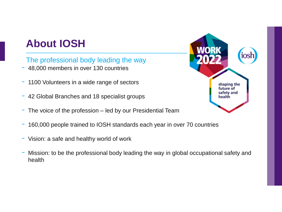## **About IOSH**

The professional body leading the way

- 48,000 members in over 130 countries
- 1100 Volunteers in a wide range of sectors
- 42 Global Branches and 18 specialist groups
- The voice of the profession led by our Presidential Team
- 160,000 people trained to IOSH standards each year in over 70 countries
- Vision: a safe and healthy world of work
- Mission: to be the professional body leading the way in global occupational safety and health